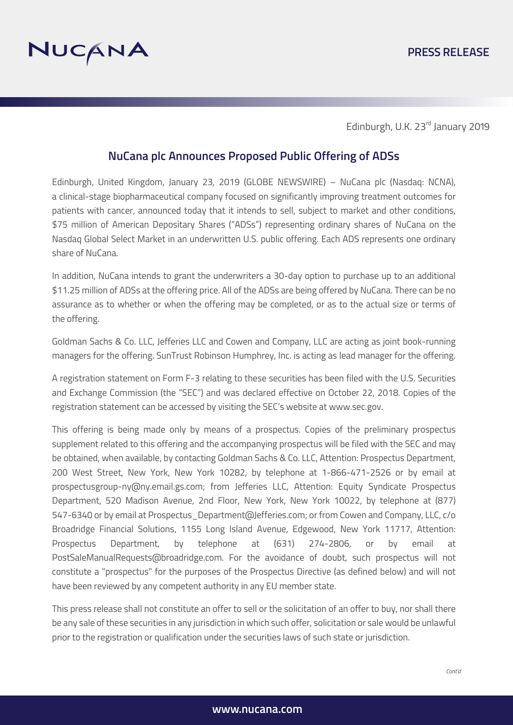

Edinburgh, U.K. 23<sup>rd</sup> January 2019

# **NuCana plc Announces Proposed Public Offering of ADSs**

Edinburgh, United Kingdom, January 23, 2019 (GLOBE NEWSWIRE) – NuCana plc (Nasdaq: NCNA), a clinical-stage biopharmaceutical company focused on significantly improving treatment outcomes for patients with cancer, announced today that it intends to sell, subject to market and other conditions, \$75 million of American Depositary Shares ("ADSs") representing ordinary shares of NuCana on the Nasdaq Global Select Market in an underwritten U.S. public offering. Each ADS represents one ordinary share of NuCana.

In addition, NuCana intends to grant the underwriters a 30-day option to purchase up to an additional \$11.25 million of ADSs at the offering price. All of the ADSs are being offered by NuCana. There can be no assurance as to whether or when the offering may be completed, or as to the actual size or terms of the offering.

Goldman Sachs & Co. LLC, Jefferies LLC and Cowen and Company, LLC are acting as joint book-running managers for the offering. SunTrust Robinson Humphrey, Inc. is acting as lead manager for the offering.

A registration statement on Form F-3 relating to these securities has been filed with the U.S. Securities and Exchange Commission (the "SEC") and was declared effective on October 22, 2018. Copies of the registration statement can be accessed by visiting the SEC's website at www.sec.gov.

This offering is being made only by means of a prospectus. Copies of the preliminary prospectus supplement related to this offering and the accompanying prospectus will be filed with the SEC and may be obtained, when available, by contacting Goldman Sachs & Co. LLC, Attention: Prospectus Department, 200 West Street, New York, New York 10282, by telephone at 1-866-471-2526 or by email at prospectusgroup-ny@ny.email.gs.com; from Jefferies LLC, Attention: Equity Syndicate Prospectus Department, 520 Madison Avenue, 2nd Floor, New York, New York 10022, by telephone at (877) 547-6340 or by email at Prospectus\_Department@Jefferies.com; or from Cowen and Company, LLC, c/o Broadridge Financial Solutions, 1155 Long Island Avenue, Edgewood, New York 11717, Attention: Prospectus Department, by telephone at (631) 274-2806, or by email at PostSaleManualRequests@broadridge.com. For the avoidance of doubt, such prospectus will not constitute a "prospectus" for the purposes of the Prospectus Directive (as defined below) and will not have been reviewed by any competent authority in any EU member state.

This press release shall not constitute an offer to sell or the solicitation of an offer to buy, nor shall there be any sale of these securities in any jurisdiction in which such offer, solicitation or sale would be unlawful prior to the registration or qualification under the securities laws of such state or jurisdiction.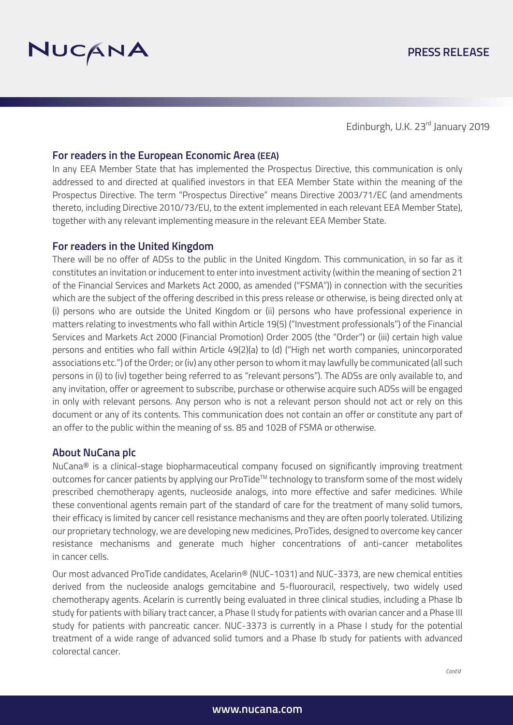

Edinburgh, U.K. 23<sup>rd</sup> January 2019

## **For readers in the European Economic Area (EEA)**

In any EEA Member State that has implemented the Prospectus Directive, this communication is only addressed to and directed at qualified investors in that EEA Member State within the meaning of the Prospectus Directive. The term "Prospectus Directive" means Directive 2003/71/EC (and amendments thereto, including Directive 2010/73/EU, to the extent implemented in each relevant EEA Member State), together with any relevant implementing measure in the relevant EEA Member State.

#### **For readers in the United Kingdom**

There will be no offer of ADSs to the public in the United Kingdom. This communication, in so far as it constitutes an invitation or inducement to enter into investment activity (within the meaning of section 21 of the Financial Services and Markets Act 2000, as amended ("FSMA")) in connection with the securities which are the subject of the offering described in this press release or otherwise, is being directed only at (i) persons who are outside the United Kingdom or (ii) persons who have professional experience in matters relating to investments who fall within Article 19(5) ("Investment professionals") of the Financial Services and Markets Act 2000 (Financial Promotion) Order 2005 (the "Order") or (iii) certain high value persons and entities who fall within Article 49(2)(a) to (d) ("High net worth companies, unincorporated associations etc.") of the Order; or (iv) any other person to whom it may lawfully be communicated (all such persons in (i) to (iv) together being referred to as "relevant persons"). The ADSs are only available to, and any invitation, offer or agreement to subscribe, purchase or otherwise acquire such ADSs will be engaged in only with relevant persons. Any person who is not a relevant person should not act or rely on this document or any of its contents. This communication does not contain an offer or constitute any part of an offer to the public within the meaning of ss. 85 and 102B of FSMA or otherwise.

# **About NuCana plc**

NuCana® is a clinical-stage biopharmaceutical company focused on significantly improving treatment outcomes for cancer patients by applying our ProTide™ technology to transform some of the most widely prescribed chemotherapy agents, nucleoside analogs, into more effective and safer medicines. While these conventional agents remain part of the standard of care for the treatment of many solid tumors, their efficacy is limited by cancer cell resistance mechanisms and they are often poorly tolerated. Utilizing our proprietary technology, we are developing new medicines, ProTides, designed to overcome key cancer resistance mechanisms and generate much higher concentrations of anti-cancer metabolites in cancer cells.

Our most advanced ProTide candidates, Acelarin® (NUC-1031) and NUC-3373, are new chemical entities derived from the nucleoside analogs gemcitabine and 5-fluorouracil, respectively, two widely used chemotherapy agents. Acelarin is currently being evaluated in three clinical studies, including a Phase Ib study for patients with biliary tract cancer, a Phase II study for patients with ovarian cancer and a Phase III study for patients with pancreatic cancer. NUC-3373 is currently in a Phase I study for the potential treatment of a wide range of advanced solid tumors and a Phase Ib study for patients with advanced colorectal cancer.